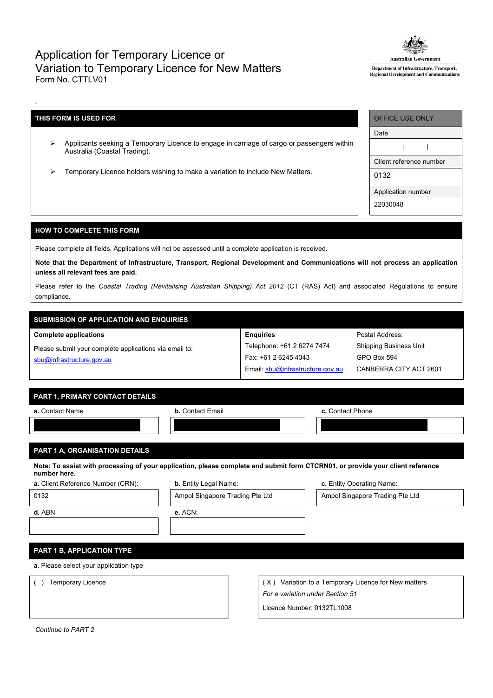## Application for Temporary Licence or Variation to Temporary Licence for New Matters Form No. CTTLV01



Department of Infrastructure, Transport, Regional Development and Communicati

## **THIS FORM IS USED FOR**

-

- Applicants seeking a Temporary Licence to engage in carriage of cargo or passengers within Australia (Coastal Trading).
- Temporary Licence holders wishing to make a variation to include New Matters.

| <b>OFFICE USE ONLY</b>  |  |  |  |  |  |  |
|-------------------------|--|--|--|--|--|--|
| Date                    |  |  |  |  |  |  |
|                         |  |  |  |  |  |  |
| Client reference number |  |  |  |  |  |  |
| 0132                    |  |  |  |  |  |  |
| Application number      |  |  |  |  |  |  |
| 22030048                |  |  |  |  |  |  |

#### **HOW TO COMPLETE THIS FORM**

Please complete all fields. Applications will not be assessed until a complete application is received.

Note that the Department of Infrastructure, Transport, Regional Development and Communications will not process an application **unless all relevant fees are paid.**

Please refer to the *Coastal Trading (Revitalising Australian Shipping) Act 2012* (CT (RAS) Act) and associated Regulations to ensure compliance.

# **SUBMISSION OF APPLICATION AND ENQUIRIES**

#### **Complete applications**

Please submit your complete applications via email to: [sbu@infrastructure.gov.au](mailto:sbu@infrastructure.gov.au)

| <b>Enquiries</b>                 |
|----------------------------------|
| Telephone: +61 2 6274 7474       |
| Fax: +61 2 6245 4343             |
| Email: sbu@infrastructure.gov.au |

Postal Address: Shipping Business Unit GPO Box 594 CANBERRA CITY ACT 2601

### **PART 1, PRIMARY CONTACT DETAILS**

| a. Contact Name | <b>b.</b> Contact Email | c. Contact Phone |  |  |
|-----------------|-------------------------|------------------|--|--|
|                 |                         |                  |  |  |
|                 |                         |                  |  |  |

## **PART 1 A, ORGANISATION DETAILS**

Note: To assist with processing of your application, please complete and submit form CTCRN01, or provide your client reference **number here.**

|  |  | a. Client Reference Number (CRN |  |  |
|--|--|---------------------------------|--|--|
|--|--|---------------------------------|--|--|

**b.** Entity Legal Name: **b.** Entity Legal Name: **c.** Entity Operating Name:

0132 **Ampol Singapore Trading Pte Ltd** Ampol Singapore Trading Pte Ltd Ampol Singapore Trading Pte Ltd

**d.** ABN **e.** ACN:

### **PART 1 B, APPLICATION TYPE**

**a.** Please select your application type

() Temporary Licence ( X) Variation to a Temporary Licence for New matters *For a variation under Section 51*

Licence Number: 0132TL1008

*Continue to PART 2*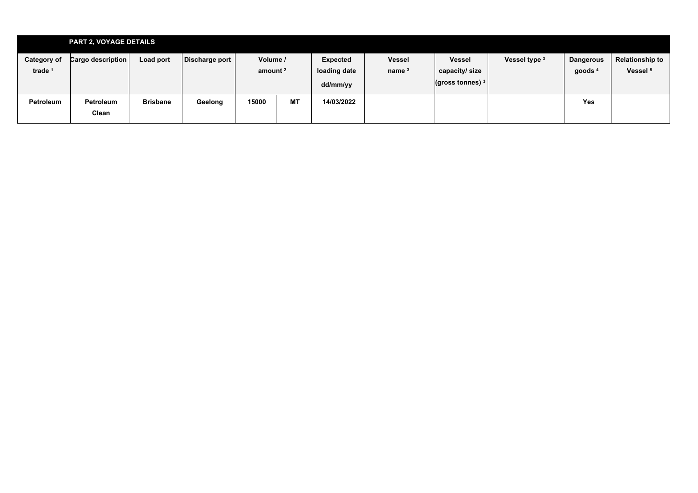|                                 | <b>PART 2, VOYAGE DETAILS</b> |                 |                |                                 |           |                                      |                                    |                                                           |               |                               |                                               |
|---------------------------------|-------------------------------|-----------------|----------------|---------------------------------|-----------|--------------------------------------|------------------------------------|-----------------------------------------------------------|---------------|-------------------------------|-----------------------------------------------|
| <b>Category of</b><br>trade $1$ | Cargo description             | Load port       | Discharge port | Volume /<br>amount <sup>2</sup> |           | Expected<br>loading date<br>dd/mm/yy | <b>Vessel</b><br>name <sup>3</sup> | <b>Vessel</b><br>capacity/size<br>$($ gross tonnes) $3 +$ | Vessel type 3 | <b>Dangerous</b><br>goods $4$ | <b>Relationship to</b><br>Vessel <sup>5</sup> |
| Petroleum                       | Petroleum<br>Clean            | <b>Brisbane</b> | Geelong        | 15000                           | <b>MT</b> | 14/03/2022                           |                                    |                                                           |               | <b>Yes</b>                    |                                               |